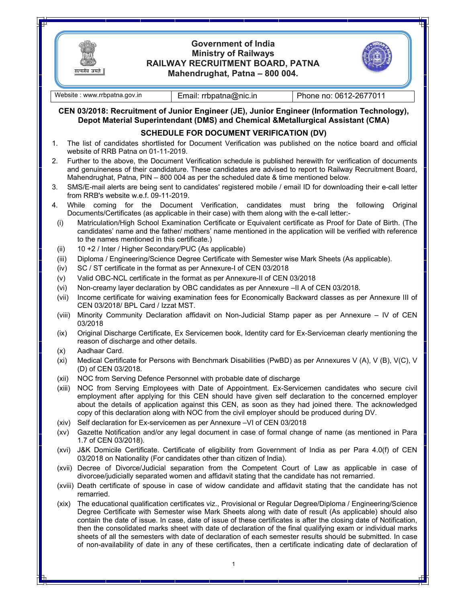

## **Government of India Ministry of Railways RAILWAY RECRUITMENT BOARD, PATNA Mahendrughat, Patna – 800 004.**



सत्यमेव जयते | Website : www.rrbpatna.gov.in | Email: rrbpatna@nic.in | Phone no: 0612-2677011 **CEN 03/2018: Recruitment of Junior Engineer (JE), Junior Engineer (Information Technology), Depot Material Superintendant (DMS) and Chemical &Metallurgical Assistant (CMA) SCHEDULE FOR DOCUMENT VERIFICATION (DV)**  1. The list of candidates shortlisted for Document Verification was published on the notice board and official website of RRB Patna on 01-11-2019. 2. Further to the above, the Document Verification schedule is published herewith for verification of documents and genuineness of their candidature. These candidates are advised to report to Railway Recruitment Board, Mahendrughat, Patna, PIN – 800 004 as per the scheduled date & time mentioned below. 3. SMS/E-mail alerts are being sent to candidates' registered mobile / email ID for downloading their e-call letter from RRB's website w.e.f. 09-11-2019. 4. While coming for the Document Verification, candidates must bring the following Original Documents/Certificates (as applicable in their case) with them along with the e-call letter:- (i) Matriculation/High School Examination Certificate or Equivalent certificate as Proof for Date of Birth. (The candidates' name and the father/ mothers' name mentioned in the application will be verified with reference to the names mentioned in this certificate.) (ii) 10 +2 / Inter / Higher Secondary/PUC (As applicable) (iii) Diploma / Engineering/Science Degree Certificate with Semester wise Mark Sheets (As applicable). (iv) SC / ST certificate in the format as per Annexure-I of CEN 03/2018 (v) Valid OBC-NCL certificate in the format as per Annexure-II of CEN 03/2018 (vi) Non-creamy layer declaration by OBC candidates as per Annexure –II A of CEN 03/2018. (vii) Income certificate for waiving examination fees for Economically Backward classes as per Annexure III of CEN 03/2018/ BPL Card / Izzat MST. (viii) Minority Community Declaration affidavit on Non-Judicial Stamp paper as per Annexure – IV of CEN 03/2018 (ix) Original Discharge Certificate, Ex Servicemen book, Identity card for Ex-Serviceman clearly mentioning the reason of discharge and other details. (x) Aadhaar Card. (xi) Medical Certificate for Persons with Benchmark Disabilities (PwBD) as per Annexures V (A), V (B), V(C), V (D) of CEN 03/2018. (xii) NOC from Serving Defence Personnel with probable date of discharge (xiii) NOC from Serving Employees with Date of Appointment. Ex-Servicemen candidates who secure civil employment after applying for this CEN should have given self declaration to the concerned employer about the details of application against this CEN, as soon as they had joined there. The acknowledged copy of this declaration along with NOC from the civil employer should be produced during DV. (xiv) Self declaration for Ex-servicemen as per Annexure –VI of CEN 03/2018 (xv) Gazette Notification and/or any legal document in case of formal change of name (as mentioned in Para 1.7 of CEN 03/2018). (xvi) J&K Domicile Certificate. Certificate of eligibility from Government of India as per Para 4.0(f) of CEN 03/2018 on Nationality (For candidates other than citizen of India). (xvii) Decree of Divorce/Judicial separation from the Competent Court of Law as applicable in case of divorcee/judicially separated women and affidavit stating that the candidate has not remarried. (xviii) Death certificate of spouse in case of widow candidate and affidavit stating that the candidate has not remarried. (xix) The educational qualification certificates viz., Provisional or Regular Degree/Diploma / Engineering/Science Degree Certificate with Semester wise Mark Sheets along with date of result (As applicable) should also contain the date of issue. In case, date of issue of these certificates is after the closing date of Notification, then the consolidated marks sheet with date of declaration of the final qualifying exam or individual marks

sheets of all the semesters with date of declaration of each semester results should be submitted. In case of non-availability of date in any of these certificates, then a certificate indicating date of declaration of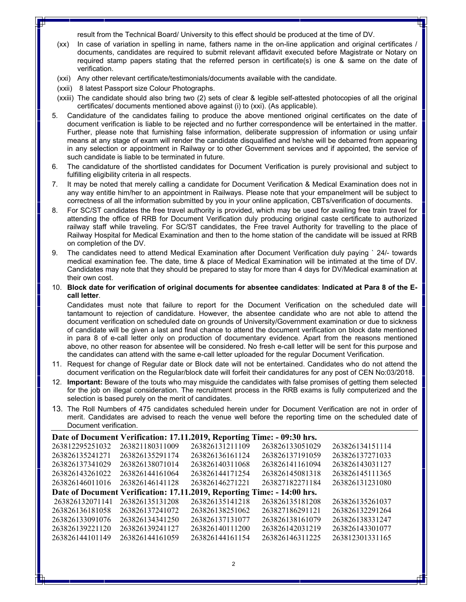result from the Technical Board/ University to this effect should be produced at the time of DV.

- (xx) In case of variation in spelling in name, fathers name in the on-line application and original certificates / documents, candidates are required to submit relevant affidavit executed before Magistrate or Notary on required stamp papers stating that the referred person in certificate(s) is one & same on the date of verification.
- (xxi) Any other relevant certificate/testimonials/documents available with the candidate.
- (xxii) 8 latest Passport size Colour Photographs.
- (xxiii) The candidate should also bring two (2) sets of clear & legible self-attested photocopies of all the original certificates/ documents mentioned above against (i) to (xxi). (As applicable).
- 5. Candidature of the candidates failing to produce the above mentioned original certificates on the date of document verification is liable to be rejected and no further correspondence will be entertained in the matter. Further, please note that furnishing false information, deliberate suppression of information or using unfair means at any stage of exam will render the candidate disqualified and he/she will be debarred from appearing in any selection or appointment in Railway or to other Government services and if appointed, the service of such candidate is liable to be terminated in future.
- 6. The candidature of the shortlisted candidates for Document Verification is purely provisional and subject to fulfilling eligibility criteria in all respects.
- 7. It may be noted that merely calling a candidate for Document Verification & Medical Examination does not in any way entitle him/her to an appointment in Railways. Please note that your empanelment will be subject to correctness of all the information submitted by you in your online application, CBTs/verification of documents.
- 8. For SC/ST candidates the free travel authority is provided, which may be used for availing free train travel for attending the office of RRB for Document Verification duly producing original caste certificate to authorized railway staff while traveling. For SC/ST candidates, the Free travel Authority for travelling to the place of Railway Hospital for Medical Examination and then to the home station of the candidate will be issued at RRB on completion of the DV.
- 9. The candidates need to attend Medical Examination after Document Verification duly paying ` 24/- towards medical examination fee. The date, time & place of Medical Examination will be intimated at the time of DV. Candidates may note that they should be prepared to stay for more than 4 days for DV/Medical examination at their own cost.
- 10. **Block date for verification of original documents for absentee candidates**: **Indicated at Para 8 of the Ecall letter**.

Candidates must note that failure to report for the Document Verification on the scheduled date will tantamount to rejection of candidature. However, the absentee candidate who are not able to attend the document verification on scheduled date on grounds of University/Government examination or due to sickness of candidate will be given a last and final chance to attend the document verification on block date mentioned in para 8 of e-call letter only on production of documentary evidence. Apart from the reasons mentioned above, no other reason for absentee will be considered. No fresh e-call letter will be sent for this purpose and the candidates can attend with the same e-call letter uploaded for the regular Document Verification.

- 11. Request for change of Regular date or Block date will not be entertained. Candidates who do not attend the document verification on the Regular/block date will forfeit their candidatures for any post of CEN No:03/2018.
- 12. **Important:** Beware of the touts who may misguide the candidates with false promises of getting them selected for the job on illegal consideration. The recruitment process in the RRB exams is fully computerized and the selection is based purely on the merit of candidates.
- 13. The Roll Numbers of 475 candidates scheduled herein under for Document Verification are not in order of merit. Candidates are advised to reach the venue well before the reporting time on the scheduled date of Document verification.

| Date of Document Verification: 17.11.2019, Reporting Time: - 09:30 hrs. |                 |                 |                 |                 |  |  |  |
|-------------------------------------------------------------------------|-----------------|-----------------|-----------------|-----------------|--|--|--|
| 263812295251032                                                         | 263821180311009 | 263826131211109 | 263826133051029 | 263826134151114 |  |  |  |
| 263826135241271                                                         | 263826135291174 | 263826136161124 | 263826137191059 | 263826137271033 |  |  |  |
| 263826137341029                                                         | 263826138071014 | 263826140311068 | 263826141161094 | 263826143031127 |  |  |  |
| 263826143261022                                                         | 263826144161064 | 263826144171254 | 263826145081318 | 263826145111365 |  |  |  |
| 263826146011016                                                         | 263826146141128 | 263826146271221 | 263827182271184 | 263826131231080 |  |  |  |
| Date of Document Verification: 17.11.2019, Reporting Time: - 14:00 hrs. |                 |                 |                 |                 |  |  |  |
| 263826132071141                                                         | 263826135131208 | 263826135141218 | 263826135181208 | 263826135261037 |  |  |  |
| 263826136181058                                                         | 263826137241072 | 263826138251062 | 263827186291121 | 263826132291264 |  |  |  |
| 263826133091076                                                         | 263826134341250 | 263826137131077 | 263826138161079 | 263826138331247 |  |  |  |
| 263826139221120                                                         | 263826139241127 | 263826140111200 | 263826142031219 | 263826143301077 |  |  |  |
| 263826144101149                                                         | 263826144161059 | 263826144161154 | 263826146311225 | 263812301331165 |  |  |  |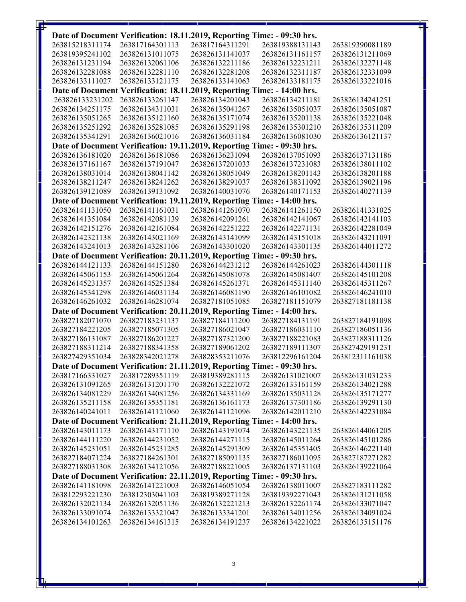|                                                                         |                                    | Date of Document Verification: 18.11.2019, Reporting Time: - 09:30 hrs. |                                    |                                    |  |  |  |
|-------------------------------------------------------------------------|------------------------------------|-------------------------------------------------------------------------|------------------------------------|------------------------------------|--|--|--|
| 263815218311174                                                         | 263817164301113                    | 263817164311291                                                         | 263819388131143                    | 263819390081189                    |  |  |  |
| 263819395241102                                                         | 263826131011075                    | 263826131141037                                                         | 263826131161157                    | 263826131211069                    |  |  |  |
| 263826131231194                                                         | 263826132061106                    | 263826132211186                                                         | 263826132231211                    | 263826132271148                    |  |  |  |
| 263826132281088                                                         | 263826132281110                    | 263826132281208                                                         | 263826132311187                    | 263826132331099                    |  |  |  |
| 263826133111027                                                         | 263826133121175                    | 263826133141063                                                         | 263826133181175                    | 263826133221016                    |  |  |  |
|                                                                         |                                    | Date of Document Verification: 18.11.2019, Reporting Time: - 14:00 hrs. |                                    |                                    |  |  |  |
| 263826133231202                                                         | 263826133261147                    | 263826134201043                                                         | 263826134211181                    | 263826134241251                    |  |  |  |
| 263826134251175                                                         | 263826134311031                    | 263826135041267                                                         | 263826135051037                    | 263826135051087                    |  |  |  |
| 263826135051265                                                         | 263826135121160                    | 263826135171074                                                         | 263826135201138                    | 263826135221048                    |  |  |  |
| 263826135251292                                                         | 263826135281085                    | 263826135291198                                                         | 263826135301210                    | 263826135311209                    |  |  |  |
| 263826135341291                                                         | 263826136021016                    | 263826136031184                                                         | 263826136081030                    | 263826136121137                    |  |  |  |
|                                                                         |                                    | Date of Document Verification: 19.11.2019, Reporting Time: - 09:30 hrs. |                                    |                                    |  |  |  |
| 263826136181020                                                         | 263826136181086                    | 263826136231094                                                         | 263826137051093                    | 263826137131186                    |  |  |  |
| 263826137161167                                                         | 263826137191047                    | 263826137201033                                                         | 263826137231083                    | 263826138011102                    |  |  |  |
| 263826138031014                                                         | 263826138041142                    | 263826138051049                                                         | 263826138201143                    | 263826138201188                    |  |  |  |
| 263826138211247                                                         | 263826138241262                    | 263826138291037                                                         | 263826138311092                    | 263826139021196                    |  |  |  |
| 263826139121089                                                         | 263826139131092                    | 263826140031076                                                         | 263826140171153                    | 263826140271139                    |  |  |  |
| Date of Document Verification: 19.11.2019, Reporting Time: - 14:00 hrs. |                                    |                                                                         |                                    |                                    |  |  |  |
| 263826141131050                                                         | 263826141161031                    | 263826141261070                                                         | 263826141261150                    | 263826141331025                    |  |  |  |
| 263826141351084                                                         | 263826142081139                    | 263826142091261                                                         | 263826142141067                    | 263826142141103                    |  |  |  |
| 263826142151276                                                         | 263826142161084                    | 263826142251222                                                         | 263826142271131                    | 263826142281049                    |  |  |  |
| 263826142321138                                                         | 263826143021169                    | 263826143141099                                                         | 263826143151018                    | 263826143211091                    |  |  |  |
| 263826143241013                                                         | 263826143281106                    | 263826143301020                                                         | 263826143301135                    | 263826144011272                    |  |  |  |
|                                                                         |                                    | Date of Document Verification: 20.11.2019, Reporting Time: - 09:30 hrs. |                                    |                                    |  |  |  |
| 263826144121133                                                         | 263826144151280                    | 263826144231212                                                         | 263826144261023                    | 263826144301118                    |  |  |  |
| 263826145061153                                                         | 263826145061264                    | 263826145081078                                                         | 263826145081407                    | 263826145101208                    |  |  |  |
| 263826145231357                                                         | 263826145251384                    | 263826145261371                                                         | 263826145311140                    | 263826145311267                    |  |  |  |
| 263826145341298                                                         | 263826146031134                    | 263826146081190                                                         | 263826146101082                    | 263826146241010                    |  |  |  |
| 263826146261032                                                         | 263826146281074                    | 263827181051085                                                         | 263827181151079                    | 263827181181138                    |  |  |  |
|                                                                         |                                    | Date of Document Verification: 20.11.2019, Reporting Time: - 14:00 hrs. |                                    |                                    |  |  |  |
| 263827182071070                                                         | 263827183231137                    | 263827184111200                                                         | 263827184131191                    | 263827184191098                    |  |  |  |
| 263827184221205                                                         | 263827185071305                    | 263827186021047                                                         | 263827186031110                    | 263827186051136                    |  |  |  |
| 263827186131087                                                         | 263827186201227                    | 263827187321200                                                         | 263827188221083                    | 263827188311126                    |  |  |  |
| 263827188311214                                                         | 263827188341358                    | 263827189061202                                                         | 263827189111307                    | 263827429191231                    |  |  |  |
| 263827429351034                                                         | 263828342021278                    | 263828353211076                                                         | 263812296161204                    | 263812311161038                    |  |  |  |
|                                                                         |                                    | Date of Document Verification: 21.11.2019, Reporting Time: - 09:30 hrs. |                                    |                                    |  |  |  |
| 263817166331027                                                         | 263817289351119                    | 263819389281115                                                         | 263826131021007                    | 263826131031233                    |  |  |  |
| 263826131091265                                                         | 263826131201170                    | 263826132221072                                                         | 263826133161159                    | 263826134021288                    |  |  |  |
| 263826134081229                                                         | 263826134081256                    | 263826134331169                                                         | 263826135031128                    | 263826135171277                    |  |  |  |
| 263826135211158                                                         | 263826135351181                    | 263826136161173                                                         | 263826137301186                    | 263826139291130                    |  |  |  |
| 263826140241011                                                         | 263826141121060                    | 263826141121096                                                         | 263826142011210                    | 263826142231084                    |  |  |  |
|                                                                         |                                    | Date of Document Verification: 21.11.2019, Reporting Time: - 14:00 hrs. |                                    |                                    |  |  |  |
| 263826143011173                                                         | 263826143171110                    | 263826143191074                                                         | 263826143221135                    | 263826144061205                    |  |  |  |
| 263826144111220                                                         | 263826144231052                    | 263826144271115                                                         | 263826145011264                    | 263826145101286                    |  |  |  |
| 263826145231051                                                         | 263826145231285                    | 263826145291309                                                         | 263826145351405                    | 263826146221140                    |  |  |  |
| 263827184071224                                                         | 263827184261301                    | 263827185091135                                                         | 263827186011095                    | 263827187271282                    |  |  |  |
| 263827188031308                                                         | 263826134121056                    | 263827188221005                                                         | 263826137131103                    | 263826139221064                    |  |  |  |
| Date of Document Verification: 22.11.2019, Reporting Time: - 09:30 hrs. |                                    |                                                                         |                                    |                                    |  |  |  |
| 263826141181098                                                         | 263826141221003                    | 263826146051054                                                         | 263826138011007                    | 263827183111282                    |  |  |  |
| 263812293221230                                                         | 263812303041103                    | 263819389271128                                                         | 263819392271043                    | 263826131211058                    |  |  |  |
| 263826132021134<br>263826133091074                                      | 263826132051136<br>263826133321047 | 263826132221213<br>263826133341201                                      | 263826132261174<br>263826134011256 | 263826133071047<br>263826134091024 |  |  |  |
| 263826134101263                                                         | 263826134161315                    | 263826134191237                                                         | 263826134221022                    | 263826135151176                    |  |  |  |
|                                                                         |                                    |                                                                         |                                    |                                    |  |  |  |

3